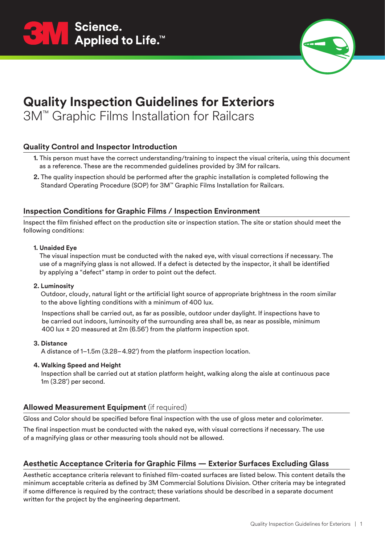



3M™ Graphic Films Installation for Railcars

### **Quality Control and Inspector Introduction**

- **1.** This person must have the correct understanding/training to inspect the visual criteria, using this document as a reference. These are the recommended guidelines provided by 3M for railcars.
- **2.** The quality inspection should be performed after the graphic installation is completed following the Standard Operating Procedure (SOP) for 3M™ Graphic Films Installation for Railcars.

#### **Inspection Conditions for Graphic Films / Inspection Environment**

Inspect the film finished effect on the production site or inspection station. The site or station should meet the following conditions:

#### **1. Unaided Eye**

The visual inspection must be conducted with the naked eye, with visual corrections if necessary. The use of a magnifying glass is not allowed. If a defect is detected by the inspector, it shall be identified by applying a "defect" stamp in order to point out the defect.

#### **2. Luminosity**

Outdoor, cloudy, natural light or the artificial light source of appropriate brightness in the room similar to the above lighting conditions with a minimum of 400 lux.

 Inspections shall be carried out, as far as possible, outdoor under daylight. If inspections have to be carried out indoors, luminosity of the surrounding area shall be, as near as possible, minimum 400 lux ± 20 measured at 2m (6.56') from the platform inspection spot.

#### **3. Distance**

A distance of 1–1.5m (3.28–4.92') from the platform inspection location.

**4. Walking Speed and Height**

Inspection shall be carried out at station platform height, walking along the aisle at continuous pace 1m (3.28') per second.

### **Allowed Measurement Equipment** (if required)

Gloss and Color should be specified before final inspection with the use of gloss meter and colorimeter.

The final inspection must be conducted with the naked eye, with visual corrections if necessary. The use of a magnifying glass or other measuring tools should not be allowed.

### **Aesthetic Acceptance Criteria for Graphic Films — Exterior Surfaces Excluding Glass**

Aesthetic acceptance criteria relevant to finished film-coated surfaces are listed below. This content details the minimum acceptable criteria as defined by 3M Commercial Solutions Division. Other criteria may be integrated if some difference is required by the contract; these variations should be described in a separate document written for the project by the engineering department.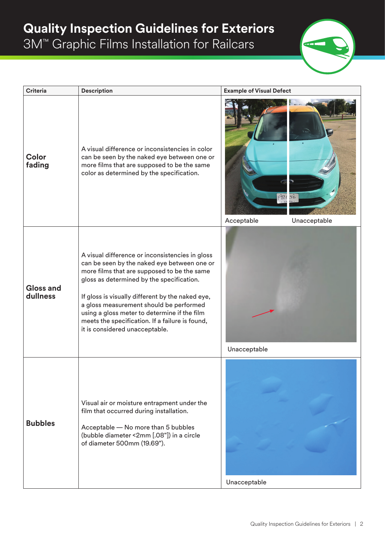

| <b>Criteria</b>              | <b>Description</b>                                                                                                                                                                                                                                                                                                                                                                                                             | <b>Example of Visual Defect</b>            |
|------------------------------|--------------------------------------------------------------------------------------------------------------------------------------------------------------------------------------------------------------------------------------------------------------------------------------------------------------------------------------------------------------------------------------------------------------------------------|--------------------------------------------|
| Color<br>fading              | A visual difference or inconsistencies in color<br>can be seen by the naked eye between one or<br>more films that are supposed to be the same<br>color as determined by the specification.                                                                                                                                                                                                                                     | Œ,<br>F92056<br>Acceptable<br>Unacceptable |
| <b>Gloss and</b><br>dullness | A visual difference or inconsistencies in gloss<br>can be seen by the naked eye between one or<br>more films that are supposed to be the same<br>gloss as determined by the specification.<br>If gloss is visually different by the naked eye,<br>a gloss measurement should be performed<br>using a gloss meter to determine if the film<br>meets the specification. If a failure is found,<br>it is considered unacceptable. | Unacceptable                               |
| <b>Bubbles</b>               | Visual air or moisture entrapment under the<br>film that occurred during installation.<br>Acceptable - No more than 5 bubbles<br>(bubble diameter <2mm [.08"]) in a circle<br>of diameter 500mm (19.69").                                                                                                                                                                                                                      | Unacceptable                               |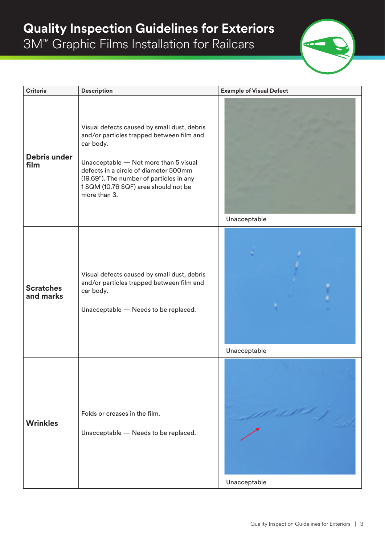

| <b>Criteria</b>               | <b>Description</b>                                                                                                                                                                                                                                                                          | <b>Example of Visual Defect</b> |
|-------------------------------|---------------------------------------------------------------------------------------------------------------------------------------------------------------------------------------------------------------------------------------------------------------------------------------------|---------------------------------|
| Debris under<br>film          | Visual defects caused by small dust, debris<br>and/or particles trapped between film and<br>car body.<br>Unacceptable - Not more than 5 visual<br>defects in a circle of diameter 500mm<br>(19.69"). The number of particles in any<br>1 SQM (10.76 SQF) area should not be<br>more than 3. | Unacceptable                    |
| <b>Scratches</b><br>and marks | Visual defects caused by small dust, debris<br>and/or particles trapped between film and<br>car body.<br>Unacceptable - Needs to be replaced.                                                                                                                                               | Unacceptable                    |
| <b>Wrinkles</b>               | Folds or creases in the film.<br>Unacceptable - Needs to be replaced.                                                                                                                                                                                                                       | Unacceptable                    |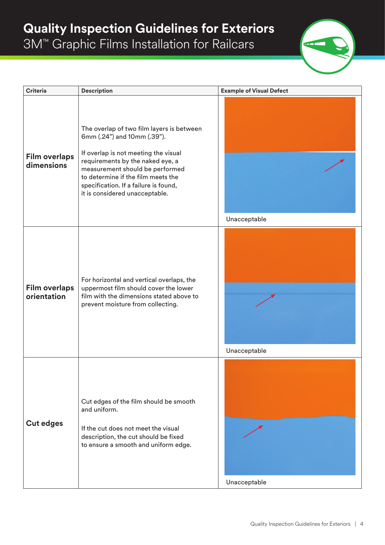

| <b>Criteria</b>                     | <b>Description</b>                                                                                                                                                                                                                                                                                       | <b>Example of Visual Defect</b> |
|-------------------------------------|----------------------------------------------------------------------------------------------------------------------------------------------------------------------------------------------------------------------------------------------------------------------------------------------------------|---------------------------------|
| <b>Film overlaps</b><br>dimensions  | The overlap of two film layers is between<br>6mm (.24") and 10mm (.39").<br>If overlap is not meeting the visual<br>requirements by the naked eye, a<br>measurement should be performed<br>to determine if the film meets the<br>specification. If a failure is found,<br>it is considered unacceptable. | Unacceptable                    |
| <b>Film overlaps</b><br>orientation | For horizontal and vertical overlaps, the<br>uppermost film should cover the lower<br>film with the dimensions stated above to<br>prevent moisture from collecting.                                                                                                                                      | Unacceptable                    |
| <b>Cut edges</b>                    | Cut edges of the film should be smooth<br>and uniform.<br>If the cut does not meet the visual<br>description, the cut should be fixed<br>to ensure a smooth and uniform edge.                                                                                                                            | Unacceptable                    |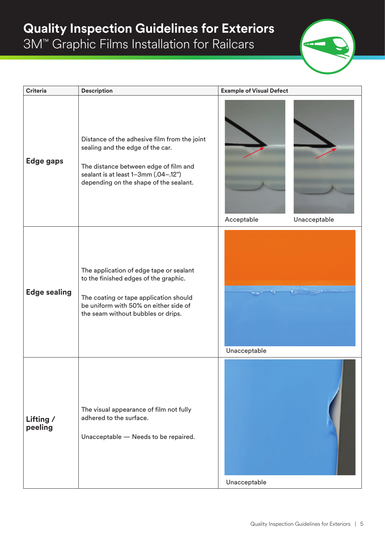

| <b>Criteria</b>      | <b>Description</b>                                                                                                                                                                                          | <b>Example of Visual Defect</b> |
|----------------------|-------------------------------------------------------------------------------------------------------------------------------------------------------------------------------------------------------------|---------------------------------|
| Edge gaps            | Distance of the adhesive film from the joint<br>sealing and the edge of the car.<br>The distance between edge of film and<br>sealant is at least 1-3mm (.04-.12")<br>depending on the shape of the sealant. | Acceptable<br>Unacceptable      |
| <b>Edge sealing</b>  | The application of edge tape or sealant<br>to the finished edges of the graphic.<br>The coating or tape application should<br>be uniform with 50% on either side of<br>the seam without bubbles or drips.   | Unacceptable                    |
| Lifting /<br>peeling | The visual appearance of film not fully<br>adhered to the surface.<br>Unacceptable - Needs to be repaired.                                                                                                  | Unacceptable                    |